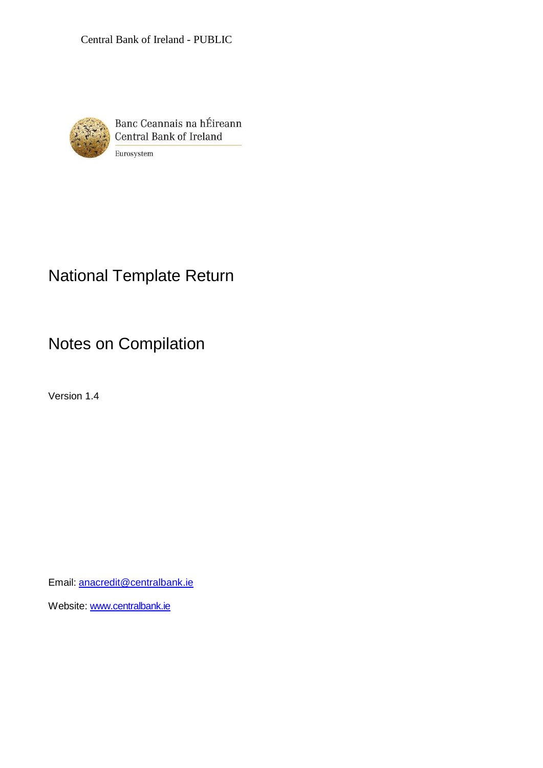

Banc Ceannais na hÉireann Central Bank of Ireland Eurosystem

# National Template Return

Notes on Compilation

Version 1.4

Email: [anacredit@centralbank.ie](mailto:anacredit@centralbank.ie)

Website: [www.centralbank.ie](http://www.centralbank.ie/)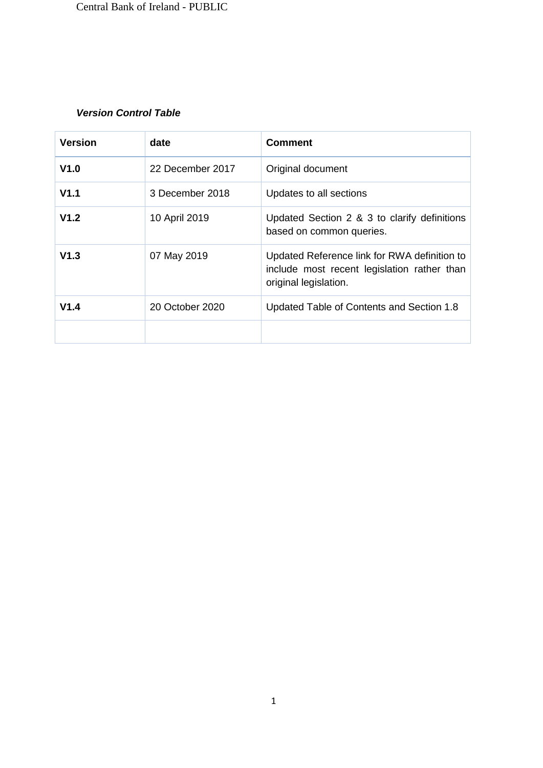# *Version Control Table*

| <b>Version</b>   | date             | <b>Comment</b>                                                                                                       |
|------------------|------------------|----------------------------------------------------------------------------------------------------------------------|
| V1.0             | 22 December 2017 | Original document                                                                                                    |
| V <sub>1.1</sub> | 3 December 2018  | Updates to all sections                                                                                              |
| V1.2             | 10 April 2019    | Updated Section 2 & 3 to clarify definitions<br>based on common queries.                                             |
| V1.3             | 07 May 2019      | Updated Reference link for RWA definition to<br>include most recent legislation rather than<br>original legislation. |
| V1.4             | 20 October 2020  | Updated Table of Contents and Section 1.8                                                                            |
|                  |                  |                                                                                                                      |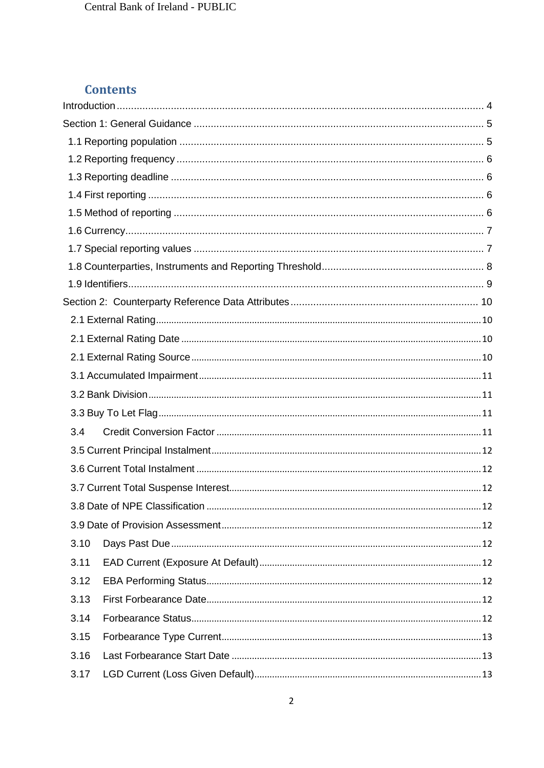# **Contents**

| 3.4  |                                      |  |
|------|--------------------------------------|--|
|      |                                      |  |
|      |                                      |  |
|      |                                      |  |
|      | 3.8 Date of NPE Classification<br>12 |  |
|      |                                      |  |
| 3.10 |                                      |  |
| 3.11 |                                      |  |
| 3.12 |                                      |  |
| 3.13 |                                      |  |
| 3.14 |                                      |  |
| 3.15 |                                      |  |
| 3.16 |                                      |  |
| 3.17 |                                      |  |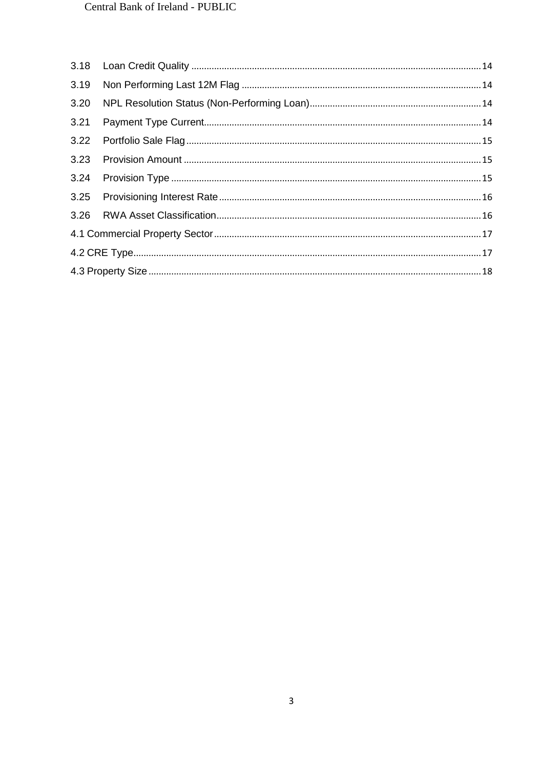| 3.19 |  |
|------|--|
|      |  |
| 3.21 |  |
|      |  |
|      |  |
|      |  |
|      |  |
|      |  |
|      |  |
|      |  |
|      |  |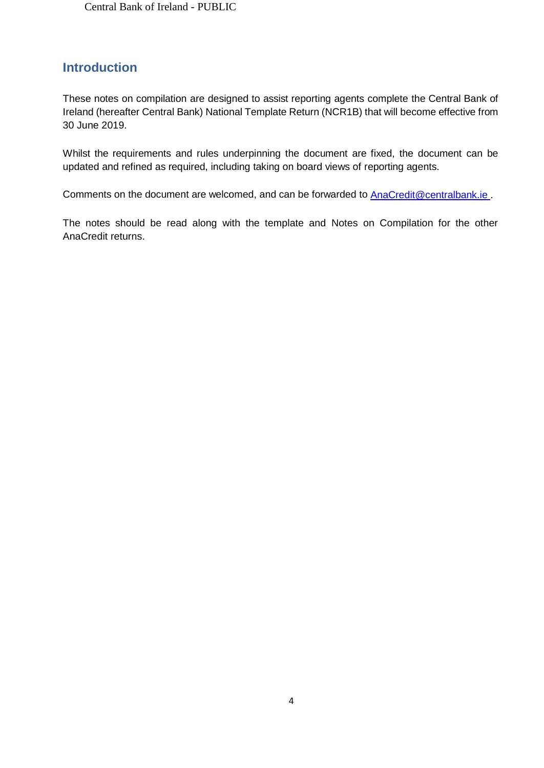# <span id="page-4-0"></span>**Introduction**

These notes on compilation are designed to assist reporting agents complete the Central Bank of Ireland (hereafter Central Bank) National Template Return (NCR1B) that will become effective from 30 June 2019.

Whilst the requirements and rules underpinning the document are fixed, the document can be updated and refined as required, including taking on board views of reporting agents.

Comments on the document are welcomed, and can be forwarded to [AnaCredit@centralbank.ie](mailto:AnaCredit@centralbank.ie) .

The notes should be read along with the template and Notes on Compilation for the other AnaCredit returns.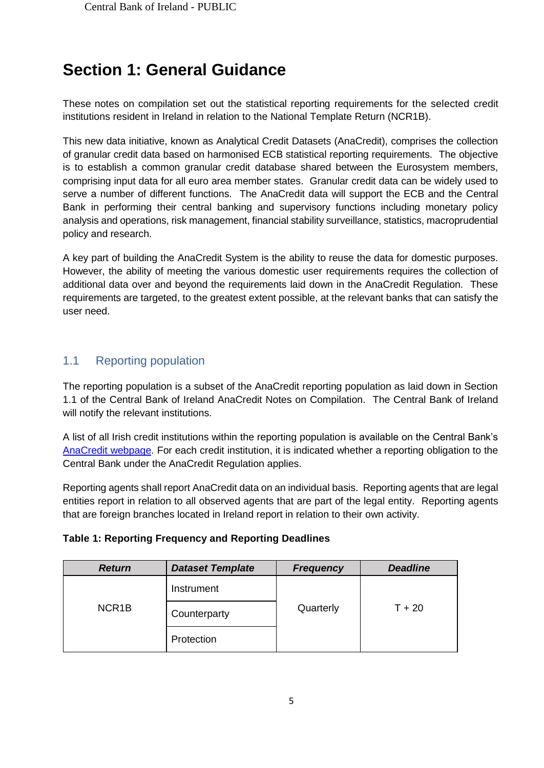# <span id="page-5-0"></span>**Section 1: General Guidance**

These notes on compilation set out the statistical reporting requirements for the selected credit institutions resident in Ireland in relation to the National Template Return (NCR1B).

This new data initiative, known as Analytical Credit Datasets (AnaCredit), comprises the collection of granular credit data based on harmonised ECB statistical reporting requirements. The objective is to establish a common granular credit database shared between the Eurosystem members, comprising input data for all euro area member states. Granular credit data can be widely used to serve a number of different functions. The AnaCredit data will support the ECB and the Central Bank in performing their central banking and supervisory functions including monetary policy analysis and operations, risk management, financial stability surveillance, statistics, macroprudential policy and research.

A key part of building the AnaCredit System is the ability to reuse the data for domestic purposes. However, the ability of meeting the various domestic user requirements requires the collection of additional data over and beyond the requirements laid down in the AnaCredit Regulation. These requirements are targeted, to the greatest extent possible, at the relevant banks that can satisfy the user need.

# <span id="page-5-1"></span>1.1 Reporting population

The reporting population is a subset of the AnaCredit reporting population as laid down in Section 1.1 of the Central Bank of Ireland AnaCredit Notes on Compilation. The Central Bank of Ireland will notify the relevant institutions.

A list of all Irish credit institutions within the reporting population is available on the Central Bank's [AnaCredit webpage.](https://www.centralbank.ie/statistics/statistical-reporting-requirements/anacredit-in-ireland) For each credit institution, it is indicated whether a reporting obligation to the Central Bank under the AnaCredit Regulation applies.

Reporting agents shall report AnaCredit data on an individual basis. Reporting agents that are legal entities report in relation to all observed agents that are part of the legal entity. Reporting agents that are foreign branches located in Ireland report in relation to their own activity.

|  |  |  |  | <b>Table 1: Reporting Frequency and Reporting Deadlines</b> |
|--|--|--|--|-------------------------------------------------------------|
|  |  |  |  |                                                             |

| <b>Return</b>      | <b>Dataset Template</b> | <b>Frequency</b> | <b>Deadline</b> |  |
|--------------------|-------------------------|------------------|-----------------|--|
|                    | Instrument              |                  |                 |  |
| NCR <sub>1</sub> B | Counterparty            | Quarterly        | $T + 20$        |  |
|                    | Protection              |                  |                 |  |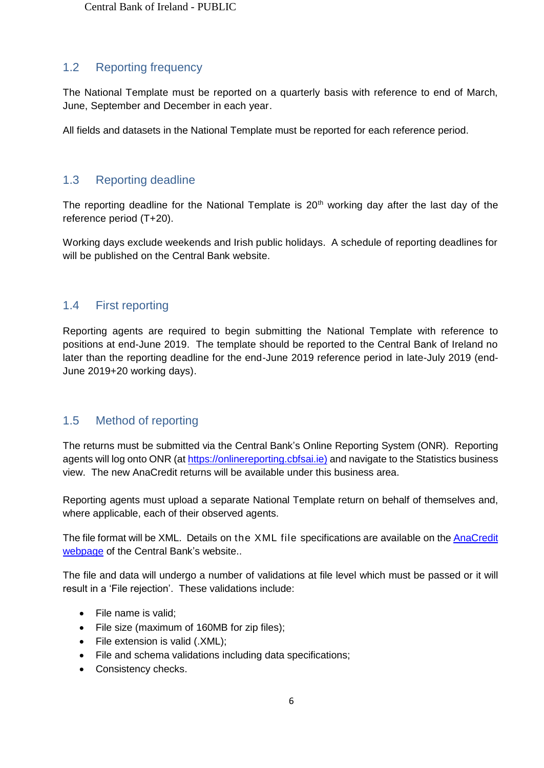# <span id="page-6-0"></span>1.2 Reporting frequency

The National Template must be reported on a quarterly basis with reference to end of March, June, September and December in each year.

All fields and datasets in the National Template must be reported for each reference period.

# <span id="page-6-1"></span>1.3 Reporting deadline

The reporting deadline for the National Template is  $20<sup>th</sup>$  working day after the last day of the reference period (T+20).

Working days exclude weekends and Irish public holidays. A schedule of reporting deadlines for will be published on the Central Bank website.

# <span id="page-6-2"></span>1.4 First reporting

Reporting agents are required to begin submitting the National Template with reference to positions at end-June 2019. The template should be reported to the Central Bank of Ireland no later than the reporting deadline for the end-June 2019 reference period in late-July 2019 (end-June 2019+20 working days).

# <span id="page-6-3"></span>1.5 Method of reporting

The returns must be submitted via the Central Bank's Online Reporting System (ONR). Reporting agents will log onto ONR (at [https://onlinereporting.cbfsai.ie\)](https://onlinereporting.cbfsai.ie/) and navigate to the Statistics business view. The new AnaCredit returns will be available under this business area.

Reporting agents must upload a separate National Template return on behalf of themselves and, where applicable, each of their observed agents.

The file format will be XML. Details on the XML file specifications are available on the **AnaCredit** [webpage](https://www.centralbank.ie/statistics/statistical-reporting-requirements/anacredit-in-ireland) of the Central Bank's website..

The file and data will undergo a number of validations at file level which must be passed or it will result in a 'File rejection'. These validations include:

- File name is valid;
- File size (maximum of 160MB for zip files);
- File extension is valid (.XML);
- File and schema validations including data specifications;
- Consistency checks.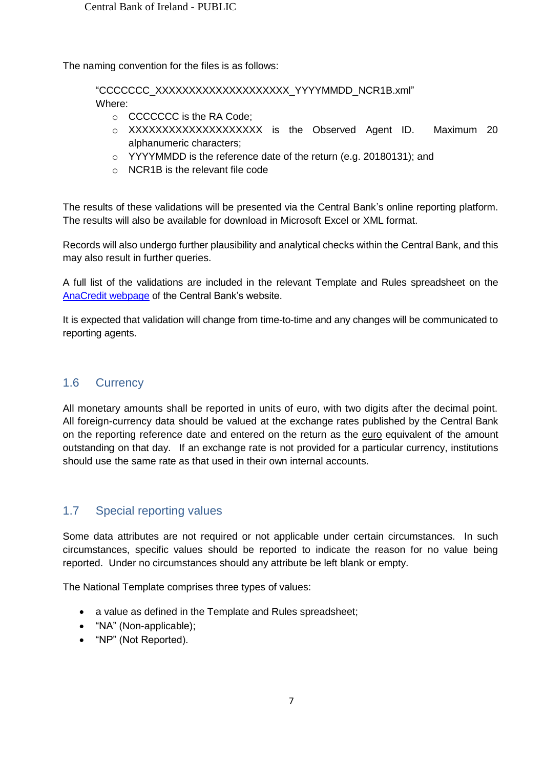The naming convention for the files is as follows:

"CCCCCCC\_XXXXXXXXXXXXXXXXXXXX\_YYYYMMDD\_NCR1B.xml"

Where:

- o CCCCCCC is the RA Code;
- o XXXXXXXXXXXXXXXXXXXX is the Observed Agent ID. Maximum 20 alphanumeric characters;
- o YYYYMMDD is the reference date of the return (e.g. 20180131); and
- o NCR1B is the relevant file code

The results of these validations will be presented via the Central Bank's online reporting platform. The results will also be available for download in Microsoft Excel or XML format.

Records will also undergo further plausibility and analytical checks within the Central Bank, and this may also result in further queries.

A full list of the validations are included in the relevant Template and Rules spreadsheet on the [AnaCredit webpage](https://www.centralbank.ie/statistics/statistical-reporting-requirements/anacredit-in-ireland) of the Central Bank's website.

It is expected that validation will change from time-to-time and any changes will be communicated to reporting agents.

## <span id="page-7-0"></span>1.6 Currency

All monetary amounts shall be reported in units of euro, with two digits after the decimal point. All foreign-currency data should be valued at the exchange rates published by the Central Bank on the reporting reference date and entered on the return as the euro equivalent of the amount outstanding on that day. If an exchange rate is not provided for a particular currency, institutions should use the same rate as that used in their own internal accounts.

# <span id="page-7-1"></span>1.7 Special reporting values

Some data attributes are not required or not applicable under certain circumstances. In such circumstances, specific values should be reported to indicate the reason for no value being reported. Under no circumstances should any attribute be left blank or empty.

The National Template comprises three types of values:

- a value as defined in the Template and Rules spreadsheet;
- "NA" (Non-applicable);
- "NP" (Not Reported).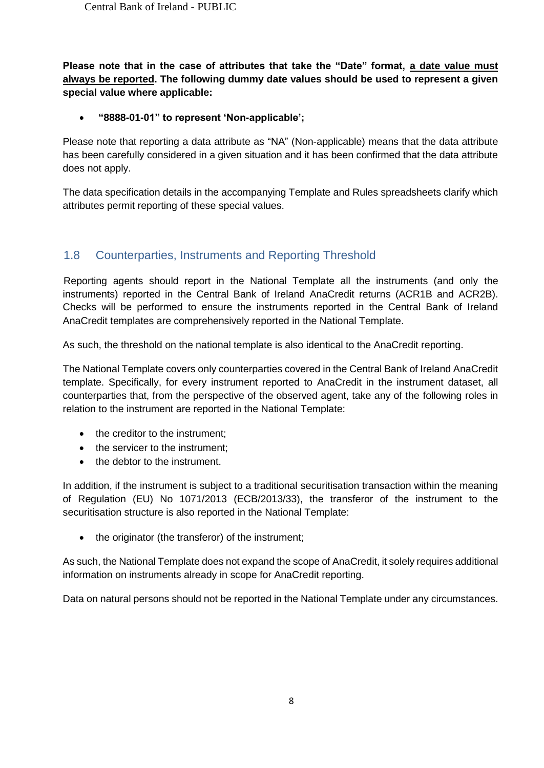**Please note that in the case of attributes that take the "Date" format, a date value must always be reported. The following dummy date values should be used to represent a given special value where applicable:**

## **"8888-01-01" to represent 'Non-applicable';**

Please note that reporting a data attribute as "NA" (Non-applicable) means that the data attribute has been carefully considered in a given situation and it has been confirmed that the data attribute does not apply.

The data specification details in the accompanying Template and Rules spreadsheets clarify which attributes permit reporting of these special values.

# <span id="page-8-0"></span>1.8 Counterparties, Instruments and Reporting Threshold

Reporting agents should report in the National Template all the instruments (and only the instruments) reported in the Central Bank of Ireland AnaCredit returns (ACR1B and ACR2B). Checks will be performed to ensure the instruments reported in the Central Bank of Ireland AnaCredit templates are comprehensively reported in the National Template.

As such, the threshold on the national template is also identical to the AnaCredit reporting.

The National Template covers only counterparties covered in the Central Bank of Ireland AnaCredit template. Specifically, for every instrument reported to AnaCredit in the instrument dataset, all counterparties that, from the perspective of the observed agent, take any of the following roles in relation to the instrument are reported in the National Template:

- the creditor to the instrument;
- the servicer to the instrument;
- the debtor to the instrument.

In addition, if the instrument is subject to a traditional securitisation transaction within the meaning of Regulation (EU) No 1071/2013 (ECB/2013/33), the transferor of the instrument to the securitisation structure is also reported in the National Template:

• the originator (the transferor) of the instrument;

As such, the National Template does not expand the scope of AnaCredit, it solely requires additional information on instruments already in scope for AnaCredit reporting.

Data on natural persons should not be reported in the National Template under any circumstances.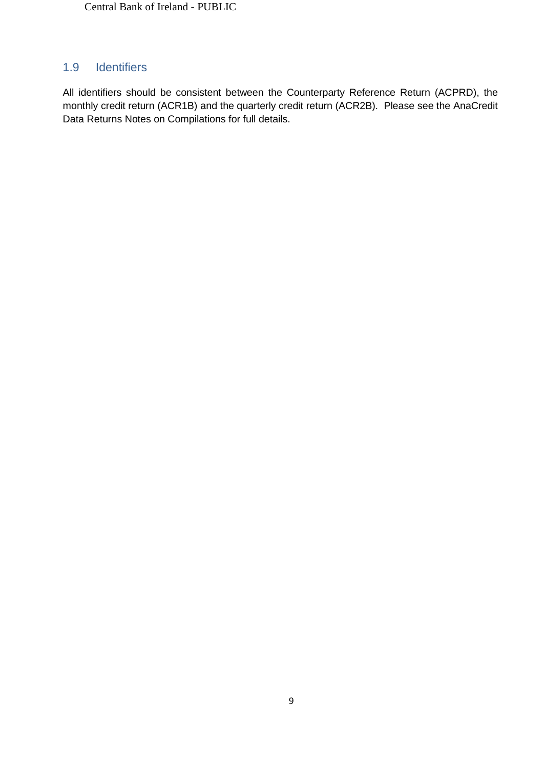# <span id="page-9-0"></span>1.9 Identifiers

All identifiers should be consistent between the Counterparty Reference Return (ACPRD), the monthly credit return (ACR1B) and the quarterly credit return (ACR2B). Please see the AnaCredit Data Returns Notes on Compilations for full details.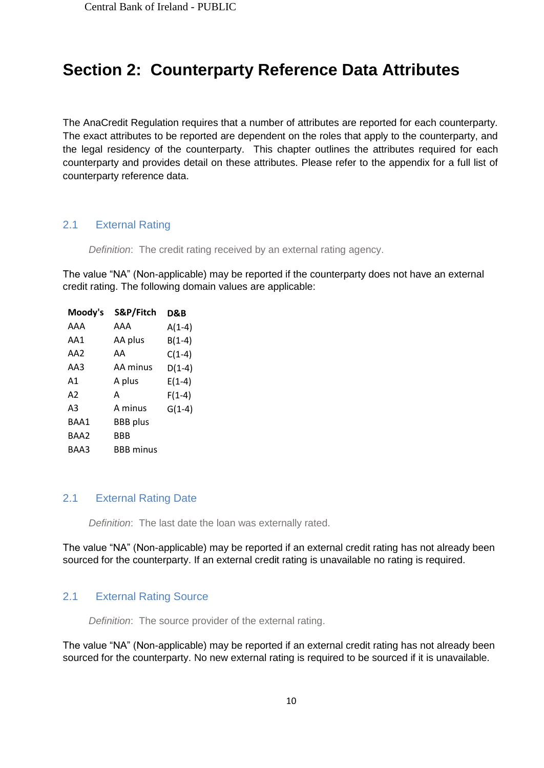# <span id="page-10-0"></span>**Section 2: Counterparty Reference Data Attributes**

The AnaCredit Regulation requires that a number of attributes are reported for each counterparty. The exact attributes to be reported are dependent on the roles that apply to the counterparty, and the legal residency of the counterparty. This chapter outlines the attributes required for each counterparty and provides detail on these attributes. Please refer to the appendix for a full list of counterparty reference data.

#### <span id="page-10-1"></span>2.1 External Rating

*Definition*: The credit rating received by an external rating agency.

The value "NA" (Non-applicable) may be reported if the counterparty does not have an external credit rating. The following domain values are applicable:

| Moody's | S&P/Fitch        | D&B      |
|---------|------------------|----------|
| AAA     | AAA              | $A(1-4)$ |
| AA1     | AA plus          | $B(1-4)$ |
| AA2     | AA               | $C(1-4)$ |
| AA3     | AA minus         | $D(1-4)$ |
| Α1      | A plus           | $E(1-4)$ |
| A2      | A                | $F(1-4)$ |
| A3      | A minus          | $G(1-4)$ |
| BAA1    | <b>BBB</b> plus  |          |
| BAA2    | BBB              |          |
| BAA3    | <b>BBB</b> minus |          |
|         |                  |          |

#### <span id="page-10-2"></span>2.1 External Rating Date

*Definition*: The last date the loan was externally rated.

The value "NA" (Non-applicable) may be reported if an external credit rating has not already been sourced for the counterparty. If an external credit rating is unavailable no rating is required.

## <span id="page-10-3"></span>2.1 External Rating Source

*Definition*: The source provider of the external rating.

The value "NA" (Non-applicable) may be reported if an external credit rating has not already been sourced for the counterparty. No new external rating is required to be sourced if it is unavailable.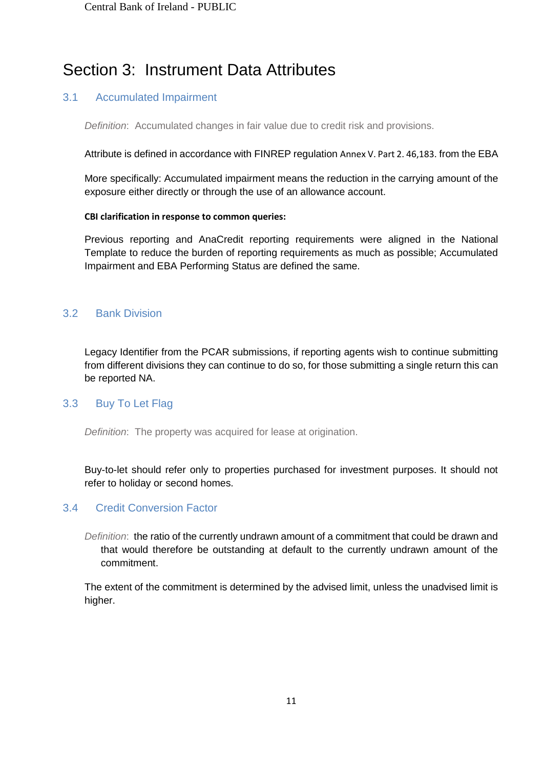# Section 3: Instrument Data Attributes

## <span id="page-11-0"></span>3.1 Accumulated Impairment

*Definition*: Accumulated changes in fair value due to credit risk and provisions.

Attribute is defined in accordance with FINREP regulation [Annex V. Part 2. 46,183.](https://www.eba.europa.eu/documents/10180/1396357/Annex+5+%28FINREP%29.pdf) from the EBA

More specifically: Accumulated impairment means the reduction in the carrying amount of the exposure either directly or through the use of an allowance account.

#### **CBI clarification in response to common queries:**

Previous reporting and AnaCredit reporting requirements were aligned in the National Template to reduce the burden of reporting requirements as much as possible; Accumulated Impairment and EBA Performing Status are defined the same.

### <span id="page-11-1"></span>3.2 Bank Division

Legacy Identifier from the PCAR submissions, if reporting agents wish to continue submitting from different divisions they can continue to do so, for those submitting a single return this can be reported NA.

#### <span id="page-11-2"></span>3.3 Buy To Let Flag

*Definition*: The property was acquired for lease at origination.

Buy-to-let should refer only to properties purchased for investment purposes. It should not refer to holiday or second homes.

## <span id="page-11-3"></span>3.4 Credit Conversion Factor

*Definition*: the ratio of the currently undrawn amount of a commitment that could be drawn and that would therefore be outstanding at default to the currently undrawn amount of the commitment.

The extent of the commitment is determined by the advised limit, unless the unadvised limit is higher.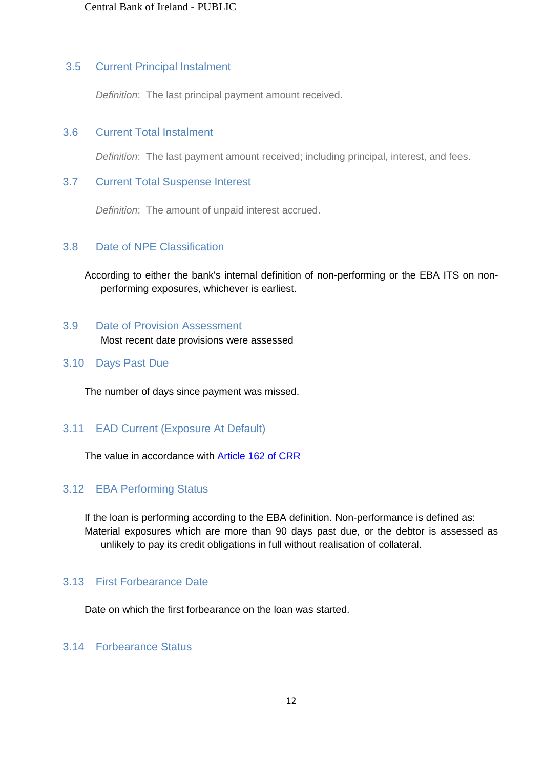#### <span id="page-12-0"></span>3.5 Current Principal Instalment

*Definition*: The last principal payment amount received.

### <span id="page-12-1"></span>3.6 Current Total Instalment

*Definition*: The last payment amount received; including principal, interest, and fees.

#### <span id="page-12-2"></span>3.7 Current Total Suspense Interest

*Definition*: The amount of unpaid interest accrued.

#### <span id="page-12-3"></span>3.8 Date of NPE Classification

According to either the bank's internal definition of non-performing or the EBA ITS on nonperforming exposures, whichever is earliest.

# <span id="page-12-4"></span>3.9 Date of Provision Assessment Most recent date provisions were assessed

#### <span id="page-12-5"></span>3.10 Days Past Due

The number of days since payment was missed.

## <span id="page-12-6"></span>3.11 EAD Current (Exposure At Default)

The value in accordance with **Article 162 of CRR** 

## <span id="page-12-7"></span>3.12 EBA Performing Status

If the loan is performing according to the EBA definition. Non-performance is defined as: Material exposures which are more than 90 days past due, or the debtor is assessed as unlikely to pay its credit obligations in full without realisation of collateral.

#### <span id="page-12-8"></span>3.13 First Forbearance Date

Date on which the first forbearance on the loan was started.

## <span id="page-12-9"></span>3.14 Forbearance Status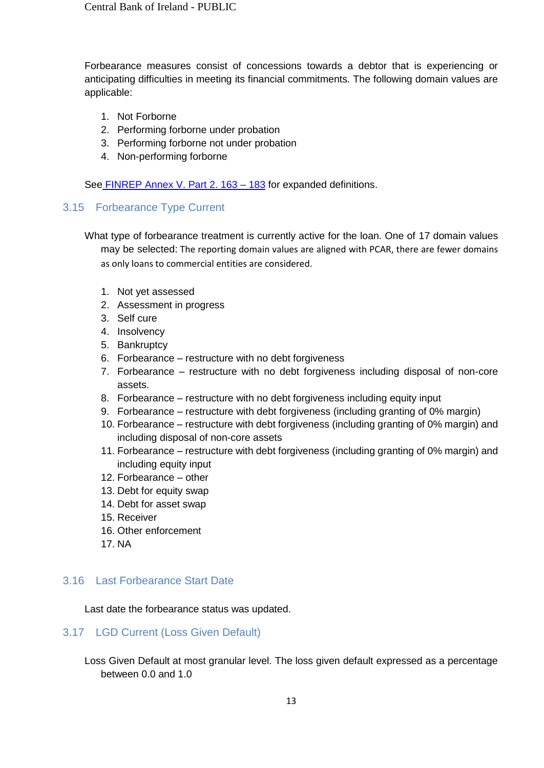Forbearance measures consist of concessions towards a debtor that is experiencing or anticipating difficulties in meeting its financial commitments. The following domain values are applicable:

- 1. Not Forborne
- 2. Performing forborne under probation
- 3. Performing forborne not under probation
- 4. Non-performing forborne

See FINREP Annex V. Part 2. 163 - 183 for expanded definitions.

#### <span id="page-13-0"></span>3.15 Forbearance Type Current

What type of forbearance treatment is currently active for the loan. One of 17 domain values may be selected: The reporting domain values are aligned with PCAR, there are fewer domains as only loans to commercial entities are considered.

- 1. Not yet assessed
- 2. Assessment in progress
- 3. Self cure
- 4. Insolvency
- 5. Bankruptcy
- 6. Forbearance restructure with no debt forgiveness
- 7. Forbearance restructure with no debt forgiveness including disposal of non-core assets.
- 8. Forbearance restructure with no debt forgiveness including equity input
- 9. Forbearance restructure with debt forgiveness (including granting of 0% margin)
- 10. Forbearance restructure with debt forgiveness (including granting of 0% margin) and including disposal of non-core assets
- 11. Forbearance restructure with debt forgiveness (including granting of 0% margin) and including equity input
- 12. Forbearance other
- 13. Debt for equity swap
- 14. Debt for asset swap
- 15. Receiver
- 16. Other enforcement
- 17. NA

# <span id="page-13-1"></span>3.16 Last Forbearance Start Date

Last date the forbearance status was updated.

## <span id="page-13-2"></span>3.17 LGD Current (Loss Given Default)

Loss Given Default at most granular level. The loss given default expressed as a percentage between 0.0 and 1.0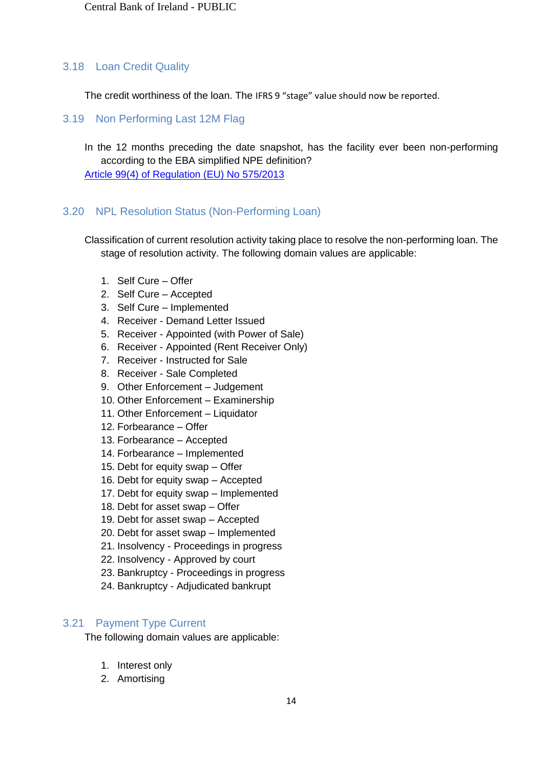### <span id="page-14-0"></span>3.18 Loan Credit Quality

The credit worthiness of the loan. The IFRS 9 "stage" value should now be reported.

<span id="page-14-1"></span>3.19 Non Performing Last 12M Flag

In the 12 months preceding the date snapshot, has the facility ever been non-performing according to the EBA simplified NPE definition? [Article 99\(4\) of Regulation \(EU\) No 575/2013](https://www.eba.europa.eu/documents/10180/449824/EBA-ITS-2013-03+Final+draft+ITS+on+Forbearance+and+Non-performing+exposures.pdf)

### <span id="page-14-2"></span>3.20 NPL Resolution Status (Non-Performing Loan)

Classification of current resolution activity taking place to resolve the non-performing loan. The stage of resolution activity. The following domain values are applicable:

- 1. Self Cure Offer
- 2. Self Cure Accepted
- 3. Self Cure Implemented
- 4. Receiver Demand Letter Issued
- 5. Receiver Appointed (with Power of Sale)
- 6. Receiver Appointed (Rent Receiver Only)
- 7. Receiver Instructed for Sale
- 8. Receiver Sale Completed
- 9. Other Enforcement Judgement
- 10. Other Enforcement Examinership
- 11. Other Enforcement Liquidator
- 12. Forbearance Offer
- 13. Forbearance Accepted
- 14. Forbearance Implemented
- 15. Debt for equity swap Offer
- 16. Debt for equity swap Accepted
- 17. Debt for equity swap Implemented
- 18. Debt for asset swap Offer
- 19. Debt for asset swap Accepted
- 20. Debt for asset swap Implemented
- 21. Insolvency Proceedings in progress
- 22. Insolvency Approved by court
- 23. Bankruptcy Proceedings in progress
- 24. Bankruptcy Adjudicated bankrupt

### <span id="page-14-3"></span>3.21 Payment Type Current

The following domain values are applicable:

- 1. Interest only
- 2. Amortising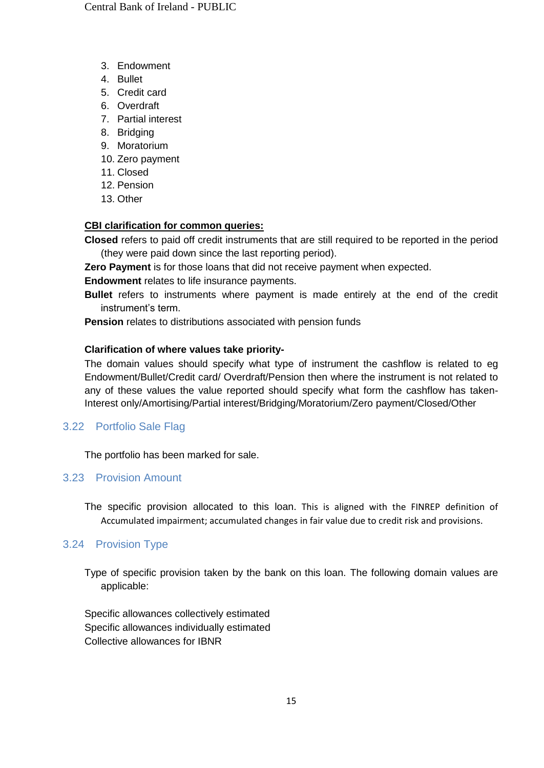- 3. Endowment
- 4. Bullet
- 5. Credit card
- 6. Overdraft
- 7. Partial interest
- 8. Bridging
- 9. Moratorium
- 10. Zero payment
- 11. Closed
- 12. Pension
- 13. Other

## **CBI clarification for common queries:**

**Closed** refers to paid off credit instruments that are still required to be reported in the period (they were paid down since the last reporting period).

**Zero Payment** is for those loans that did not receive payment when expected.

**Endowment** relates to life insurance payments.

**Bullet** refers to instruments where payment is made entirely at the end of the credit instrument's term.

**Pension** relates to distributions associated with pension funds

## **Clarification of where values take priority-**

The domain values should specify what type of instrument the cashflow is related to eg Endowment/Bullet/Credit card/ Overdraft/Pension then where the instrument is not related to any of these values the value reported should specify what form the cashflow has taken-Interest only/Amortising/Partial interest/Bridging/Moratorium/Zero payment/Closed/Other

# <span id="page-15-0"></span>3.22 Portfolio Sale Flag

The portfolio has been marked for sale.

## <span id="page-15-1"></span>3.23 Provision Amount

The specific provision allocated to this loan. This is aligned with the FINREP definition of Accumulated impairment; accumulated changes in fair value due to credit risk and provisions.

# <span id="page-15-2"></span>3.24 Provision Type

Type of specific provision taken by the bank on this loan. The following domain values are applicable:

Specific allowances collectively estimated Specific allowances individually estimated Collective allowances for IBNR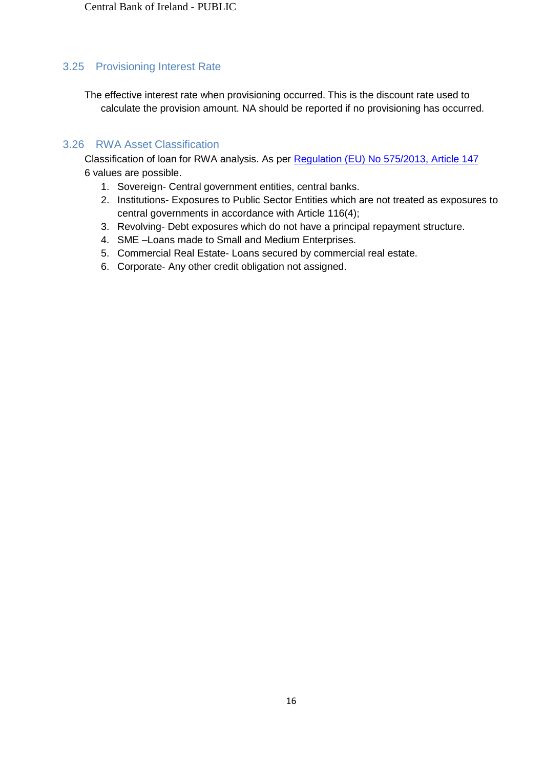## <span id="page-16-0"></span>3.25 Provisioning Interest Rate

The effective interest rate when provisioning occurred. This is the discount rate used to calculate the provision amount. NA should be reported if no provisioning has occurred.

## <span id="page-16-1"></span>3.26 RWA Asset Classification

Classification of loan for RWA analysis. As per [Regulation \(EU\) No 575/2013, Article 147](https://eur-lex.europa.eu/legal-content/EN/TXT/?uri=celex%3A32013R0575) 6 values are possible.

- 1. Sovereign- Central government entities, central banks.
- 2. Institutions- Exposures to Public Sector Entities which are not treated as exposures to central governments in accordance with Article 116(4);
- 3. Revolving- Debt exposures which do not have a principal repayment structure.
- 4. SME –Loans made to Small and Medium Enterprises.
- 5. Commercial Real Estate- Loans secured by commercial real estate.
- 6. Corporate- Any other credit obligation not assigned.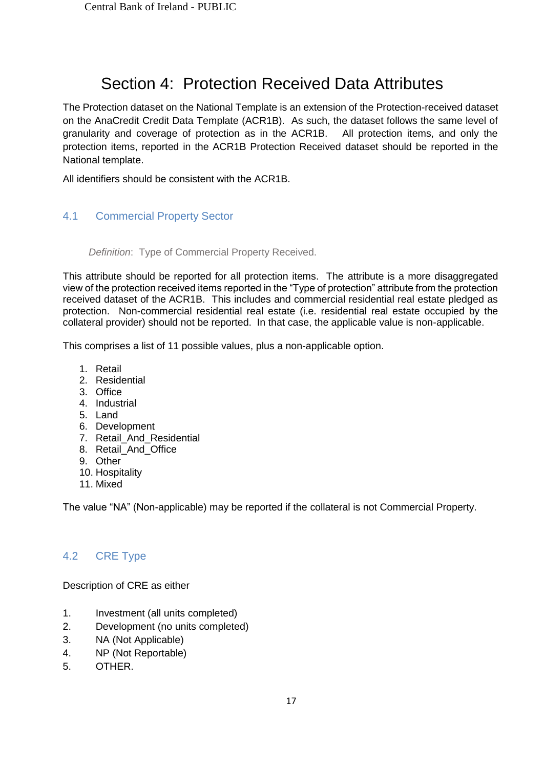# Section 4: Protection Received Data Attributes

The Protection dataset on the National Template is an extension of the Protection-received dataset on the AnaCredit Credit Data Template (ACR1B). As such, the dataset follows the same level of granularity and coverage of protection as in the ACR1B. All protection items, and only the protection items, reported in the ACR1B Protection Received dataset should be reported in the National template.

All identifiers should be consistent with the ACR1B.

# <span id="page-17-0"></span>4.1 Commercial Property Sector

#### *Definition*: Type of Commercial Property Received.

This attribute should be reported for all protection items. The attribute is a more disaggregated view of the protection received items reported in the "Type of protection" attribute from the protection received dataset of the ACR1B. This includes and commercial residential real estate pledged as protection. Non-commercial residential real estate (i.e. residential real estate occupied by the collateral provider) should not be reported. In that case, the applicable value is non-applicable.

This comprises a list of 11 possible values, plus a non-applicable option.

- 1. Retail
- 2. Residential
- 3. Office
- 4. Industrial
- 5. Land
- 6. Development
- 7. Retail\_And\_Residential
- 8. Retail\_And\_Office
- 9. Other
- 10. Hospitality
- 11. Mixed

The value "NA" (Non-applicable) may be reported if the collateral is not Commercial Property.

## <span id="page-17-1"></span>4.2 CRE Type

Description of CRE as either

- 1. Investment (all units completed)
- 2. Development (no units completed)
- 3. NA (Not Applicable)
- 4. NP (Not Reportable)
- 5. OTHER.